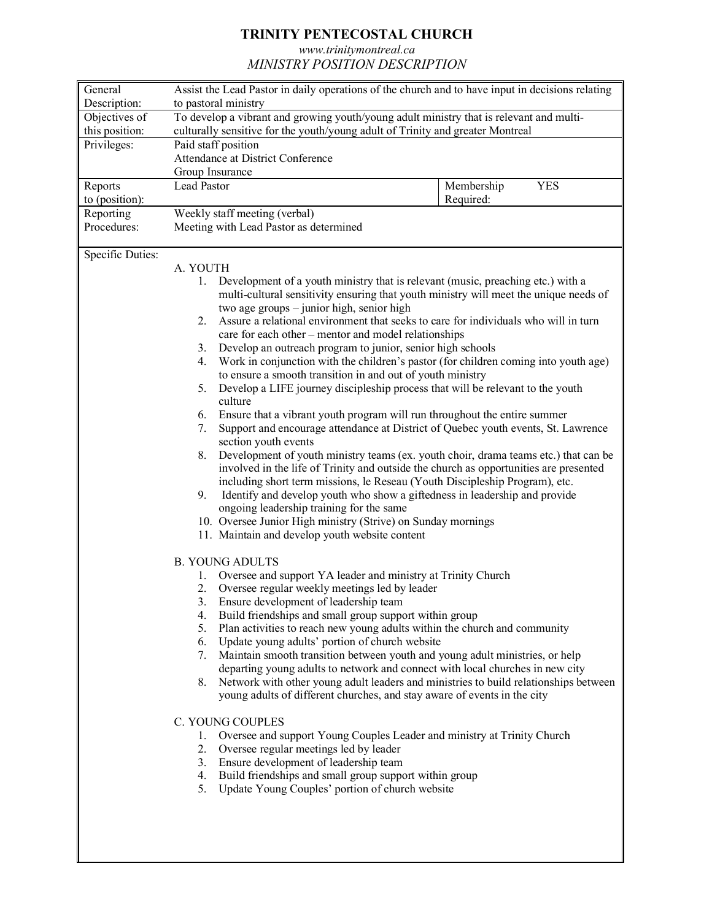## **TRINITY PENTECOSTAL CHURCH**

*www.trinitymontreal.ca*

*MINISTRY POSITION DESCRIPTION*

| General          | Assist the Lead Pastor in daily operations of the church and to have input in decisions relating                                                                    |                                                                                         |  |
|------------------|---------------------------------------------------------------------------------------------------------------------------------------------------------------------|-----------------------------------------------------------------------------------------|--|
| Description:     | to pastoral ministry                                                                                                                                                |                                                                                         |  |
| Objectives of    | To develop a vibrant and growing youth/young adult ministry that is relevant and multi-                                                                             |                                                                                         |  |
| this position:   | culturally sensitive for the youth/young adult of Trinity and greater Montreal                                                                                      |                                                                                         |  |
| Privileges:      | Paid staff position                                                                                                                                                 |                                                                                         |  |
|                  | Attendance at District Conference                                                                                                                                   |                                                                                         |  |
|                  | Group Insurance                                                                                                                                                     |                                                                                         |  |
| Reports          | Lead Pastor                                                                                                                                                         | <b>YES</b><br>Membership                                                                |  |
| to (position):   |                                                                                                                                                                     | Required:                                                                               |  |
| Reporting        | Weekly staff meeting (verbal)                                                                                                                                       |                                                                                         |  |
| Procedures:      | Meeting with Lead Pastor as determined                                                                                                                              |                                                                                         |  |
|                  |                                                                                                                                                                     |                                                                                         |  |
| Specific Duties: |                                                                                                                                                                     |                                                                                         |  |
|                  | A. YOUTH                                                                                                                                                            |                                                                                         |  |
|                  | $1_{-}$                                                                                                                                                             | Development of a youth ministry that is relevant (music, preaching etc.) with a         |  |
|                  |                                                                                                                                                                     | multi-cultural sensitivity ensuring that youth ministry will meet the unique needs of   |  |
|                  | two age groups - junior high, senior high                                                                                                                           |                                                                                         |  |
|                  | Assure a relational environment that seeks to care for individuals who will in turn<br>2.                                                                           |                                                                                         |  |
|                  | care for each other – mentor and model relationships                                                                                                                |                                                                                         |  |
|                  | Develop an outreach program to junior, senior high schools<br>3.<br>Work in conjunction with the children's pastor (for children coming into youth age)<br>4.       |                                                                                         |  |
|                  | to ensure a smooth transition in and out of youth ministry                                                                                                          |                                                                                         |  |
|                  | Develop a LIFE journey discipleship process that will be relevant to the youth<br>5.                                                                                |                                                                                         |  |
|                  | culture                                                                                                                                                             |                                                                                         |  |
|                  | Ensure that a vibrant youth program will run throughout the entire summer<br>6.                                                                                     |                                                                                         |  |
|                  |                                                                                                                                                                     | Support and encourage attendance at District of Quebec youth events, St. Lawrence<br>7. |  |
|                  | section youth events                                                                                                                                                |                                                                                         |  |
|                  | Development of youth ministry teams (ex. youth choir, drama teams etc.) that can be<br>8.                                                                           |                                                                                         |  |
|                  | involved in the life of Trinity and outside the church as opportunities are presented                                                                               |                                                                                         |  |
|                  | including short term missions, le Reseau (Youth Discipleship Program), etc.                                                                                         |                                                                                         |  |
|                  | 9.<br>Identify and develop youth who show a giftedness in leadership and provide                                                                                    |                                                                                         |  |
|                  | ongoing leadership training for the same                                                                                                                            |                                                                                         |  |
|                  |                                                                                                                                                                     | 10. Oversee Junior High ministry (Strive) on Sunday mornings                            |  |
|                  | 11. Maintain and develop youth website content                                                                                                                      |                                                                                         |  |
|                  |                                                                                                                                                                     |                                                                                         |  |
|                  | <b>B. YOUNG ADULTS</b>                                                                                                                                              |                                                                                         |  |
|                  | Oversee and support YA leader and ministry at Trinity Church<br>1.                                                                                                  |                                                                                         |  |
|                  | 2. Oversee regular weekly meetings led by leader                                                                                                                    |                                                                                         |  |
|                  | 3. Ensure development of leadership team                                                                                                                            |                                                                                         |  |
|                  | Build friendships and small group support within group<br>4.                                                                                                        |                                                                                         |  |
|                  | Plan activities to reach new young adults within the church and community<br>5.                                                                                     |                                                                                         |  |
|                  | Update young adults' portion of church website<br>6.                                                                                                                |                                                                                         |  |
|                  | Maintain smooth transition between youth and young adult ministries, or help<br>7.<br>departing young adults to network and connect with local churches in new city |                                                                                         |  |
|                  | Network with other young adult leaders and ministries to build relationships between<br>8.                                                                          |                                                                                         |  |
|                  |                                                                                                                                                                     |                                                                                         |  |
|                  | young adults of different churches, and stay aware of events in the city                                                                                            |                                                                                         |  |
|                  | C. YOUNG COUPLES                                                                                                                                                    |                                                                                         |  |
|                  | Oversee and support Young Couples Leader and ministry at Trinity Church<br>1.                                                                                       |                                                                                         |  |
|                  | 2.<br>Oversee regular meetings led by leader                                                                                                                        |                                                                                         |  |
|                  | 3. Ensure development of leadership team                                                                                                                            |                                                                                         |  |
|                  | Build friendships and small group support within group<br>4.                                                                                                        |                                                                                         |  |
|                  | Update Young Couples' portion of church website<br>5.                                                                                                               |                                                                                         |  |
|                  |                                                                                                                                                                     |                                                                                         |  |
|                  |                                                                                                                                                                     |                                                                                         |  |
|                  |                                                                                                                                                                     |                                                                                         |  |
|                  |                                                                                                                                                                     |                                                                                         |  |
|                  |                                                                                                                                                                     |                                                                                         |  |